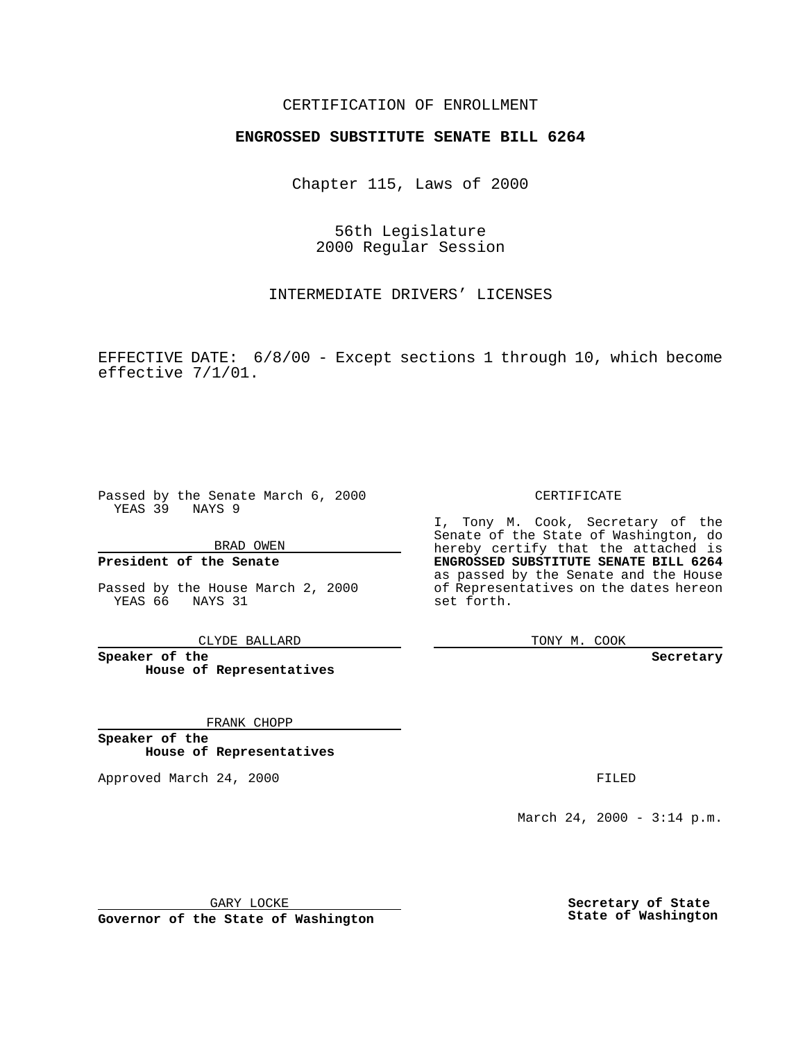### CERTIFICATION OF ENROLLMENT

# **ENGROSSED SUBSTITUTE SENATE BILL 6264**

Chapter 115, Laws of 2000

56th Legislature 2000 Regular Session

INTERMEDIATE DRIVERS' LICENSES

EFFECTIVE DATE: 6/8/00 - Except sections 1 through 10, which become effective 7/1/01.

Passed by the Senate March 6, 2000 YEAS 39 NAYS 9

BRAD OWEN

**President of the Senate**

Passed by the House March 2, 2000 YEAS 66 NAYS 31

CLYDE BALLARD

**Speaker of the House of Representatives**

FRANK CHOPP

**Speaker of the House of Representatives**

Approved March 24, 2000 FILED

#### CERTIFICATE

I, Tony M. Cook, Secretary of the Senate of the State of Washington, do hereby certify that the attached is **ENGROSSED SUBSTITUTE SENATE BILL 6264** as passed by the Senate and the House of Representatives on the dates hereon set forth.

TONY M. COOK

**Secretary**

March 24, 2000 - 3:14 p.m.

GARY LOCKE

**Governor of the State of Washington**

**Secretary of State State of Washington**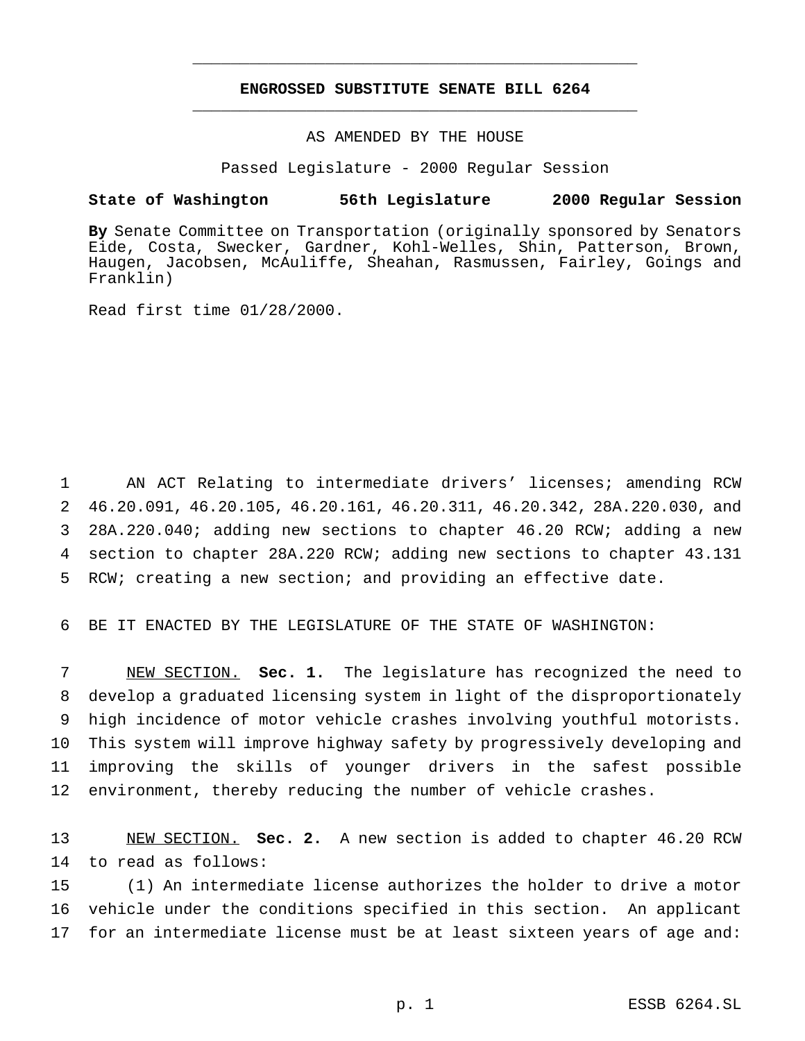## **ENGROSSED SUBSTITUTE SENATE BILL 6264** \_\_\_\_\_\_\_\_\_\_\_\_\_\_\_\_\_\_\_\_\_\_\_\_\_\_\_\_\_\_\_\_\_\_\_\_\_\_\_\_\_\_\_\_\_\_\_

\_\_\_\_\_\_\_\_\_\_\_\_\_\_\_\_\_\_\_\_\_\_\_\_\_\_\_\_\_\_\_\_\_\_\_\_\_\_\_\_\_\_\_\_\_\_\_

### AS AMENDED BY THE HOUSE

Passed Legislature - 2000 Regular Session

#### **State of Washington 56th Legislature 2000 Regular Session**

**By** Senate Committee on Transportation (originally sponsored by Senators Eide, Costa, Swecker, Gardner, Kohl-Welles, Shin, Patterson, Brown, Haugen, Jacobsen, McAuliffe, Sheahan, Rasmussen, Fairley, Goings and Franklin)

Read first time 01/28/2000.

 AN ACT Relating to intermediate drivers' licenses; amending RCW 46.20.091, 46.20.105, 46.20.161, 46.20.311, 46.20.342, 28A.220.030, and 28A.220.040; adding new sections to chapter 46.20 RCW; adding a new section to chapter 28A.220 RCW; adding new sections to chapter 43.131 RCW; creating a new section; and providing an effective date.

6 BE IT ENACTED BY THE LEGISLATURE OF THE STATE OF WASHINGTON:

 NEW SECTION. **Sec. 1.** The legislature has recognized the need to develop a graduated licensing system in light of the disproportionately high incidence of motor vehicle crashes involving youthful motorists. This system will improve highway safety by progressively developing and improving the skills of younger drivers in the safest possible environment, thereby reducing the number of vehicle crashes.

13 NEW SECTION. **Sec. 2.** A new section is added to chapter 46.20 RCW 14 to read as follows:

15 (1) An intermediate license authorizes the holder to drive a motor 16 vehicle under the conditions specified in this section. An applicant 17 for an intermediate license must be at least sixteen years of age and: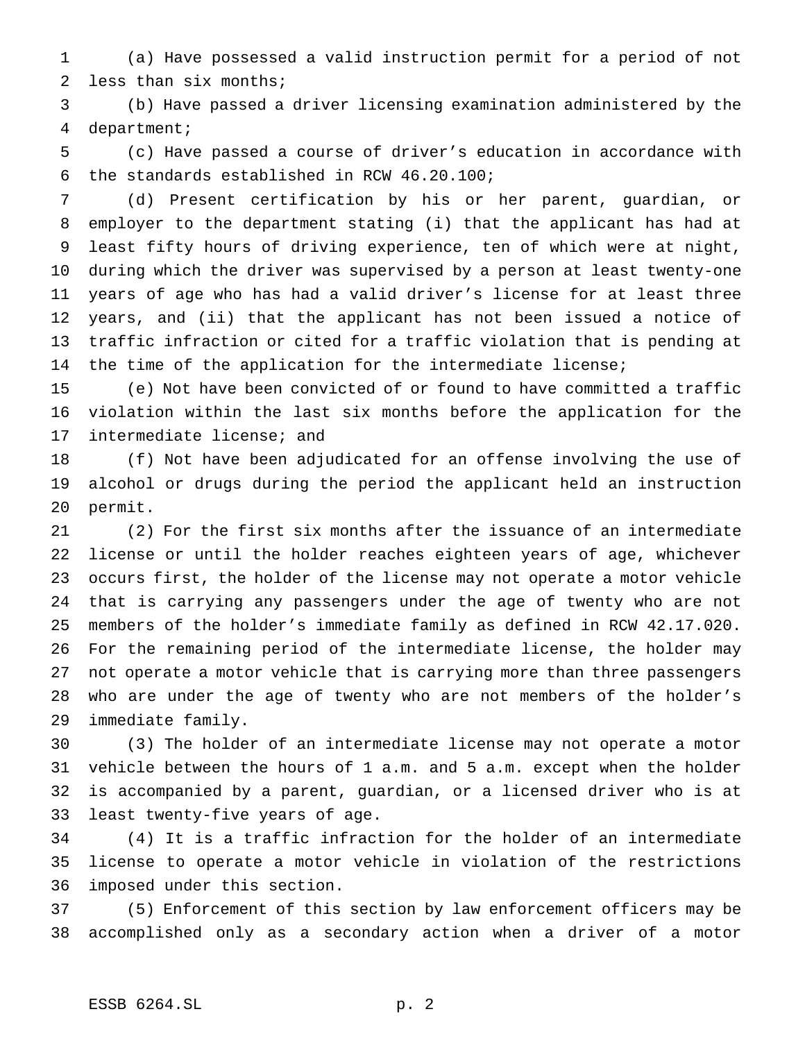(a) Have possessed a valid instruction permit for a period of not less than six months;

 (b) Have passed a driver licensing examination administered by the department;

 (c) Have passed a course of driver's education in accordance with the standards established in RCW 46.20.100;

 (d) Present certification by his or her parent, guardian, or employer to the department stating (i) that the applicant has had at least fifty hours of driving experience, ten of which were at night, during which the driver was supervised by a person at least twenty-one years of age who has had a valid driver's license for at least three years, and (ii) that the applicant has not been issued a notice of traffic infraction or cited for a traffic violation that is pending at 14 the time of the application for the intermediate license;

 (e) Not have been convicted of or found to have committed a traffic violation within the last six months before the application for the intermediate license; and

 (f) Not have been adjudicated for an offense involving the use of alcohol or drugs during the period the applicant held an instruction permit.

 (2) For the first six months after the issuance of an intermediate license or until the holder reaches eighteen years of age, whichever occurs first, the holder of the license may not operate a motor vehicle that is carrying any passengers under the age of twenty who are not members of the holder's immediate family as defined in RCW 42.17.020. For the remaining period of the intermediate license, the holder may not operate a motor vehicle that is carrying more than three passengers who are under the age of twenty who are not members of the holder's immediate family.

 (3) The holder of an intermediate license may not operate a motor vehicle between the hours of 1 a.m. and 5 a.m. except when the holder is accompanied by a parent, guardian, or a licensed driver who is at least twenty-five years of age.

 (4) It is a traffic infraction for the holder of an intermediate license to operate a motor vehicle in violation of the restrictions imposed under this section.

 (5) Enforcement of this section by law enforcement officers may be accomplished only as a secondary action when a driver of a motor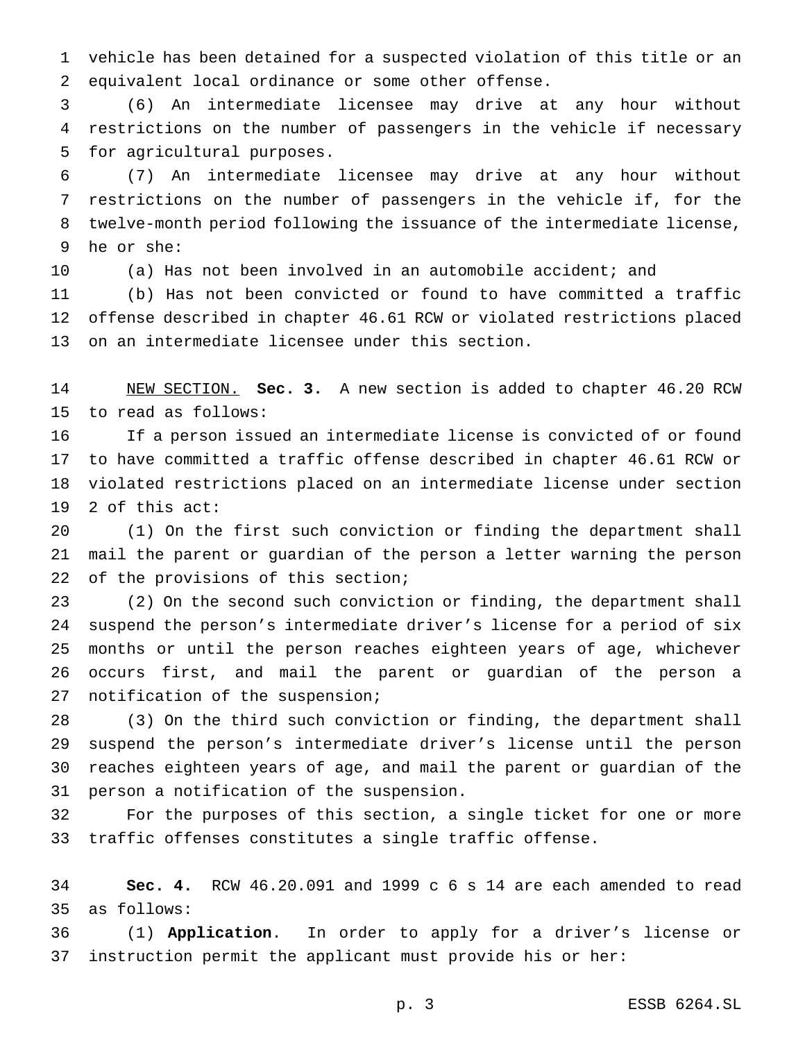vehicle has been detained for a suspected violation of this title or an equivalent local ordinance or some other offense.

 (6) An intermediate licensee may drive at any hour without restrictions on the number of passengers in the vehicle if necessary for agricultural purposes.

 (7) An intermediate licensee may drive at any hour without restrictions on the number of passengers in the vehicle if, for the twelve-month period following the issuance of the intermediate license, he or she:

(a) Has not been involved in an automobile accident; and

 (b) Has not been convicted or found to have committed a traffic offense described in chapter 46.61 RCW or violated restrictions placed on an intermediate licensee under this section.

 NEW SECTION. **Sec. 3.** A new section is added to chapter 46.20 RCW to read as follows:

 If a person issued an intermediate license is convicted of or found to have committed a traffic offense described in chapter 46.61 RCW or violated restrictions placed on an intermediate license under section 2 of this act:

 (1) On the first such conviction or finding the department shall mail the parent or guardian of the person a letter warning the person 22 of the provisions of this section;

 (2) On the second such conviction or finding, the department shall suspend the person's intermediate driver's license for a period of six months or until the person reaches eighteen years of age, whichever occurs first, and mail the parent or guardian of the person a notification of the suspension;

 (3) On the third such conviction or finding, the department shall suspend the person's intermediate driver's license until the person reaches eighteen years of age, and mail the parent or guardian of the person a notification of the suspension.

 For the purposes of this section, a single ticket for one or more traffic offenses constitutes a single traffic offense.

 **Sec. 4.** RCW 46.20.091 and 1999 c 6 s 14 are each amended to read as follows:

 (1) **Application**. In order to apply for a driver's license or instruction permit the applicant must provide his or her: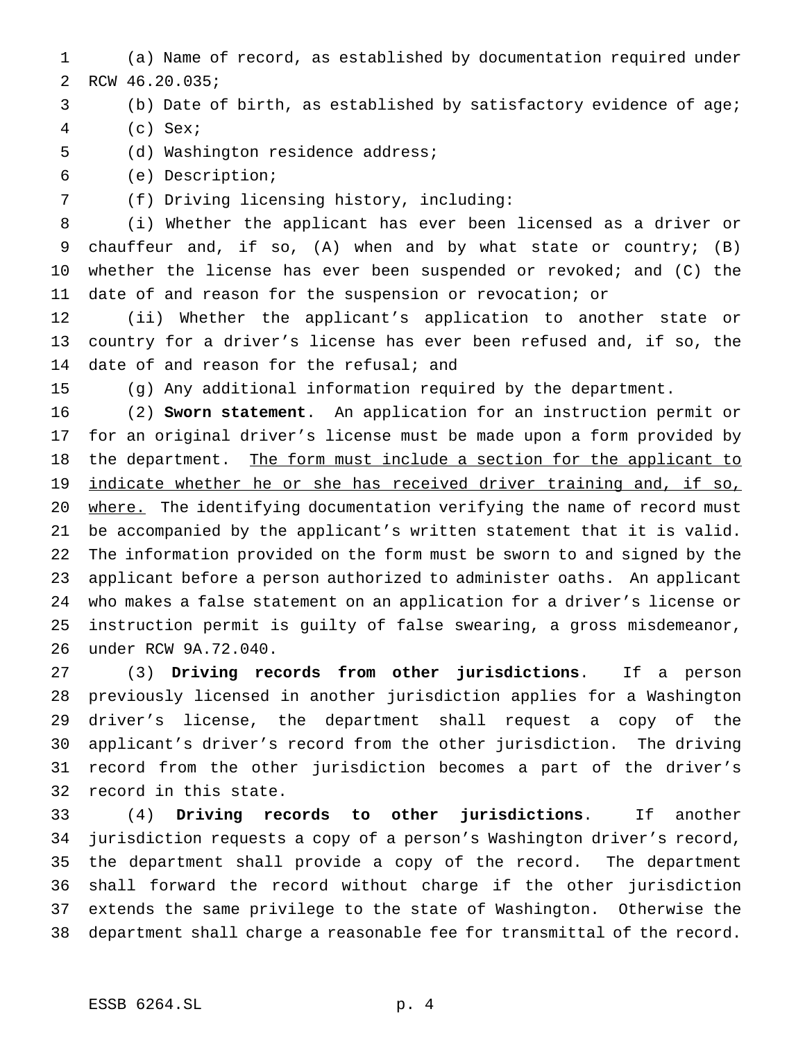(a) Name of record, as established by documentation required under RCW 46.20.035;

# (b) Date of birth, as established by satisfactory evidence of age;

- (c) Sex;
- (d) Washington residence address;
- (e) Description;

(f) Driving licensing history, including:

 (i) Whether the applicant has ever been licensed as a driver or chauffeur and, if so, (A) when and by what state or country; (B) whether the license has ever been suspended or revoked; and (C) the date of and reason for the suspension or revocation; or

 (ii) Whether the applicant's application to another state or country for a driver's license has ever been refused and, if so, the 14 date of and reason for the refusal; and

(g) Any additional information required by the department.

 (2) **Sworn statement**. An application for an instruction permit or for an original driver's license must be made upon a form provided by 18 the department. The form must include a section for the applicant to 19 indicate whether he or she has received driver training and, if so, 20 where. The identifying documentation verifying the name of record must be accompanied by the applicant's written statement that it is valid. The information provided on the form must be sworn to and signed by the applicant before a person authorized to administer oaths. An applicant who makes a false statement on an application for a driver's license or instruction permit is guilty of false swearing, a gross misdemeanor, under RCW 9A.72.040.

 (3) **Driving records from other jurisdictions**. If a person previously licensed in another jurisdiction applies for a Washington driver's license, the department shall request a copy of the applicant's driver's record from the other jurisdiction. The driving record from the other jurisdiction becomes a part of the driver's record in this state.

 (4) **Driving records to other jurisdictions**. If another jurisdiction requests a copy of a person's Washington driver's record, the department shall provide a copy of the record. The department shall forward the record without charge if the other jurisdiction extends the same privilege to the state of Washington. Otherwise the department shall charge a reasonable fee for transmittal of the record.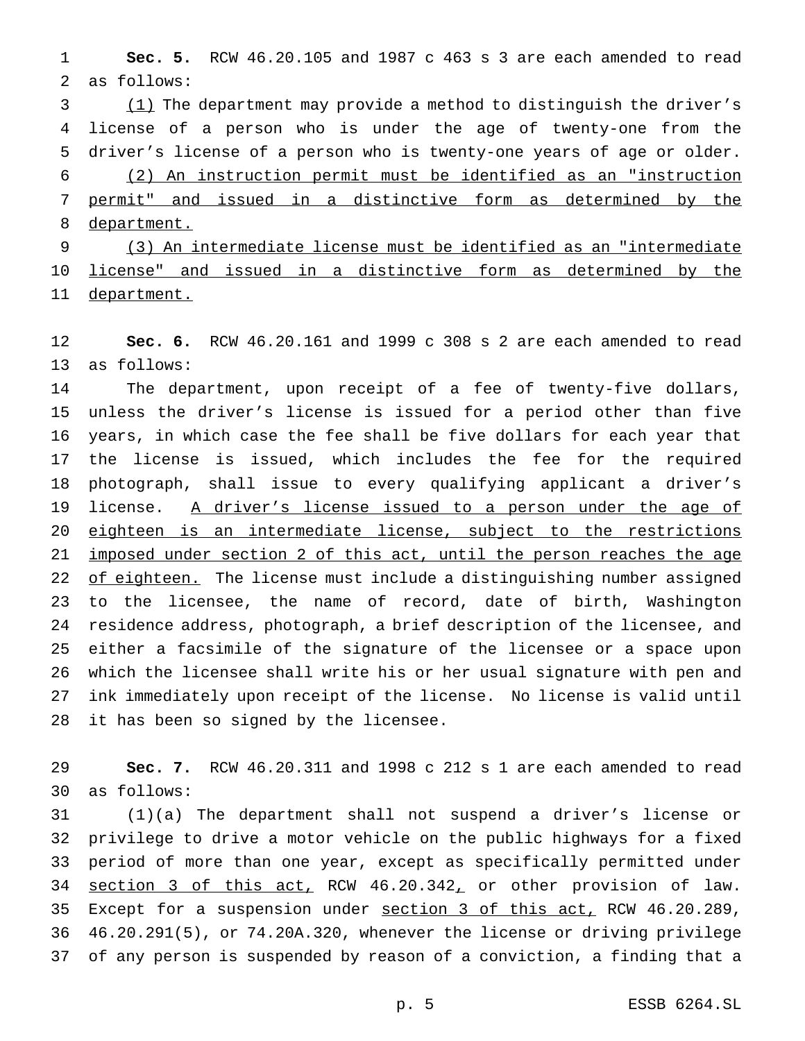**Sec. 5.** RCW 46.20.105 and 1987 c 463 s 3 are each amended to read as follows:

3 (1) The department may provide a method to distinguish the driver's license of a person who is under the age of twenty-one from the driver's license of a person who is twenty-one years of age or older. (2) An instruction permit must be identified as an "instruction permit" and issued in a distinctive form as determined by the 8 department.

 (3) An intermediate license must be identified as an "intermediate license" and issued in a distinctive form as determined by the department.

 **Sec. 6.** RCW 46.20.161 and 1999 c 308 s 2 are each amended to read as follows:

 The department, upon receipt of a fee of twenty-five dollars, unless the driver's license is issued for a period other than five years, in which case the fee shall be five dollars for each year that the license is issued, which includes the fee for the required photograph, shall issue to every qualifying applicant a driver's 19 license. A driver's license issued to a person under the age of eighteen is an intermediate license, subject to the restrictions imposed under section 2 of this act, until the person reaches the age 22 of eighteen. The license must include a distinguishing number assigned to the licensee, the name of record, date of birth, Washington residence address, photograph, a brief description of the licensee, and either a facsimile of the signature of the licensee or a space upon which the licensee shall write his or her usual signature with pen and ink immediately upon receipt of the license. No license is valid until it has been so signed by the licensee.

 **Sec. 7.** RCW 46.20.311 and 1998 c 212 s 1 are each amended to read as follows:

 (1)(a) The department shall not suspend a driver's license or privilege to drive a motor vehicle on the public highways for a fixed period of more than one year, except as specifically permitted under 34 section 3 of this act, RCW 46.20.342, or other provision of law. 35 Except for a suspension under section 3 of this act, RCW 46.20.289, 46.20.291(5), or 74.20A.320, whenever the license or driving privilege of any person is suspended by reason of a conviction, a finding that a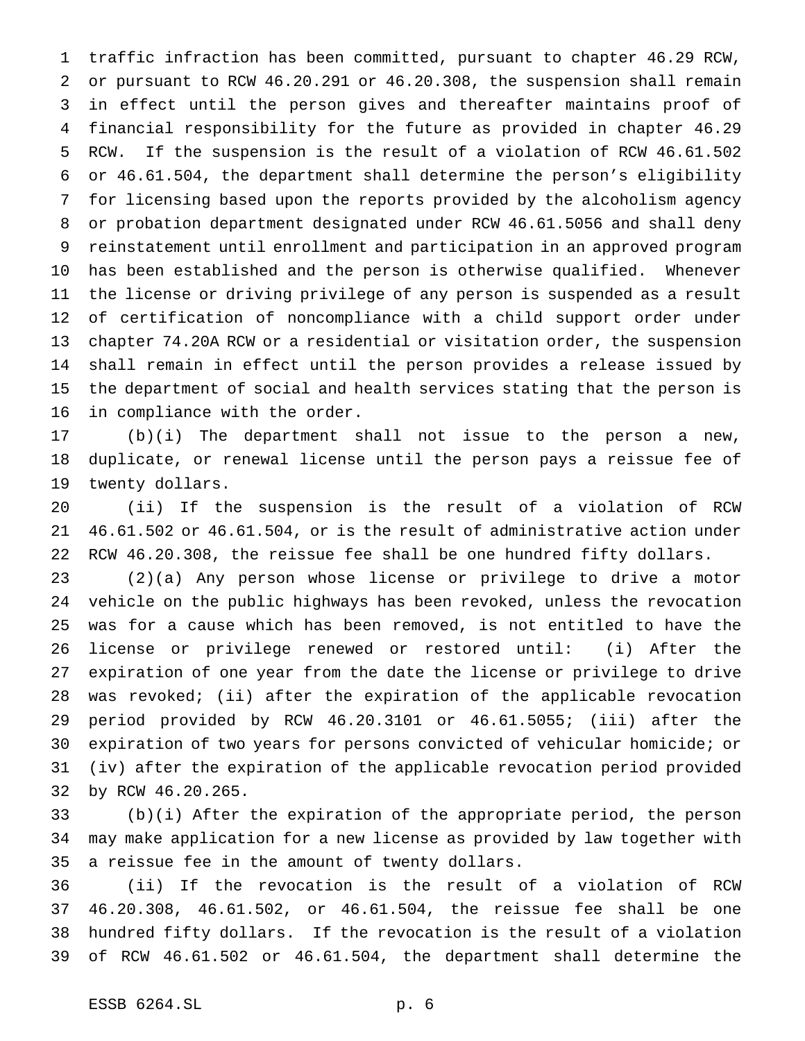traffic infraction has been committed, pursuant to chapter 46.29 RCW, or pursuant to RCW 46.20.291 or 46.20.308, the suspension shall remain in effect until the person gives and thereafter maintains proof of financial responsibility for the future as provided in chapter 46.29 RCW. If the suspension is the result of a violation of RCW 46.61.502 or 46.61.504, the department shall determine the person's eligibility for licensing based upon the reports provided by the alcoholism agency or probation department designated under RCW 46.61.5056 and shall deny reinstatement until enrollment and participation in an approved program has been established and the person is otherwise qualified. Whenever the license or driving privilege of any person is suspended as a result of certification of noncompliance with a child support order under chapter 74.20A RCW or a residential or visitation order, the suspension shall remain in effect until the person provides a release issued by the department of social and health services stating that the person is in compliance with the order.

 (b)(i) The department shall not issue to the person a new, duplicate, or renewal license until the person pays a reissue fee of twenty dollars.

 (ii) If the suspension is the result of a violation of RCW 46.61.502 or 46.61.504, or is the result of administrative action under RCW 46.20.308, the reissue fee shall be one hundred fifty dollars.

 (2)(a) Any person whose license or privilege to drive a motor vehicle on the public highways has been revoked, unless the revocation was for a cause which has been removed, is not entitled to have the license or privilege renewed or restored until: (i) After the expiration of one year from the date the license or privilege to drive was revoked; (ii) after the expiration of the applicable revocation period provided by RCW 46.20.3101 or 46.61.5055; (iii) after the expiration of two years for persons convicted of vehicular homicide; or (iv) after the expiration of the applicable revocation period provided by RCW 46.20.265.

 (b)(i) After the expiration of the appropriate period, the person may make application for a new license as provided by law together with a reissue fee in the amount of twenty dollars.

 (ii) If the revocation is the result of a violation of RCW 46.20.308, 46.61.502, or 46.61.504, the reissue fee shall be one hundred fifty dollars. If the revocation is the result of a violation of RCW 46.61.502 or 46.61.504, the department shall determine the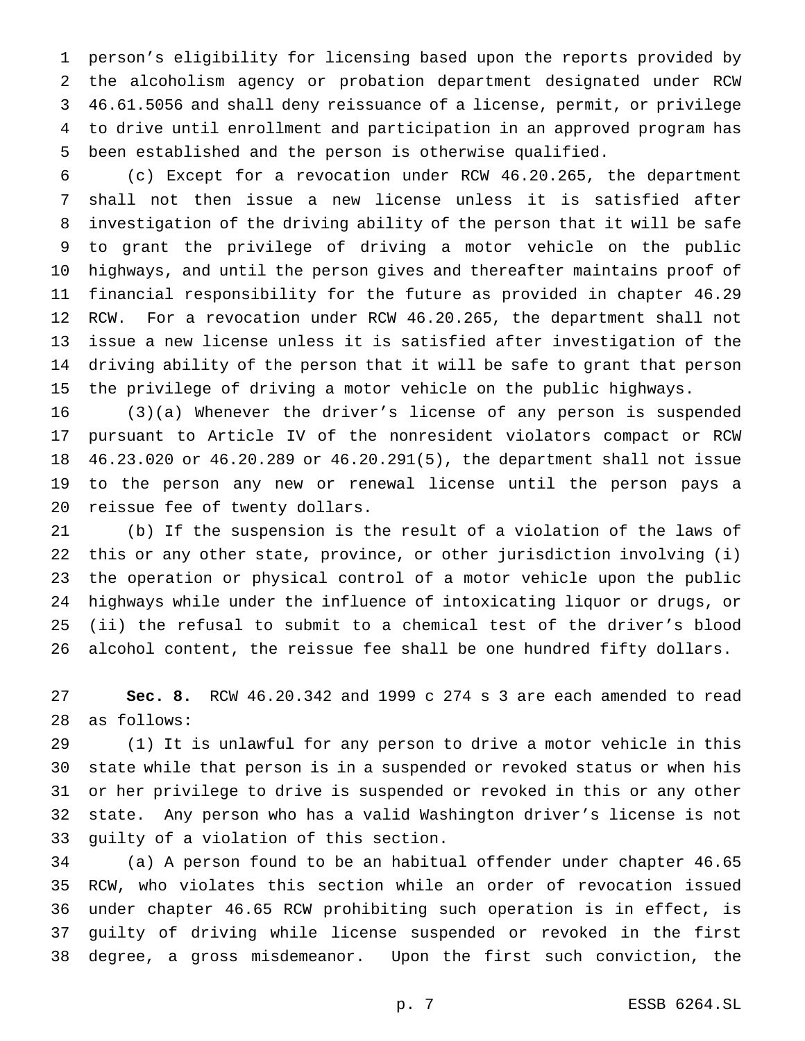person's eligibility for licensing based upon the reports provided by the alcoholism agency or probation department designated under RCW 46.61.5056 and shall deny reissuance of a license, permit, or privilege to drive until enrollment and participation in an approved program has been established and the person is otherwise qualified.

 (c) Except for a revocation under RCW 46.20.265, the department shall not then issue a new license unless it is satisfied after investigation of the driving ability of the person that it will be safe to grant the privilege of driving a motor vehicle on the public highways, and until the person gives and thereafter maintains proof of financial responsibility for the future as provided in chapter 46.29 RCW. For a revocation under RCW 46.20.265, the department shall not issue a new license unless it is satisfied after investigation of the driving ability of the person that it will be safe to grant that person the privilege of driving a motor vehicle on the public highways.

 (3)(a) Whenever the driver's license of any person is suspended pursuant to Article IV of the nonresident violators compact or RCW 46.23.020 or 46.20.289 or 46.20.291(5), the department shall not issue to the person any new or renewal license until the person pays a reissue fee of twenty dollars.

 (b) If the suspension is the result of a violation of the laws of this or any other state, province, or other jurisdiction involving (i) the operation or physical control of a motor vehicle upon the public highways while under the influence of intoxicating liquor or drugs, or (ii) the refusal to submit to a chemical test of the driver's blood alcohol content, the reissue fee shall be one hundred fifty dollars.

 **Sec. 8.** RCW 46.20.342 and 1999 c 274 s 3 are each amended to read as follows:

 (1) It is unlawful for any person to drive a motor vehicle in this state while that person is in a suspended or revoked status or when his or her privilege to drive is suspended or revoked in this or any other state. Any person who has a valid Washington driver's license is not guilty of a violation of this section.

 (a) A person found to be an habitual offender under chapter 46.65 RCW, who violates this section while an order of revocation issued under chapter 46.65 RCW prohibiting such operation is in effect, is guilty of driving while license suspended or revoked in the first degree, a gross misdemeanor. Upon the first such conviction, the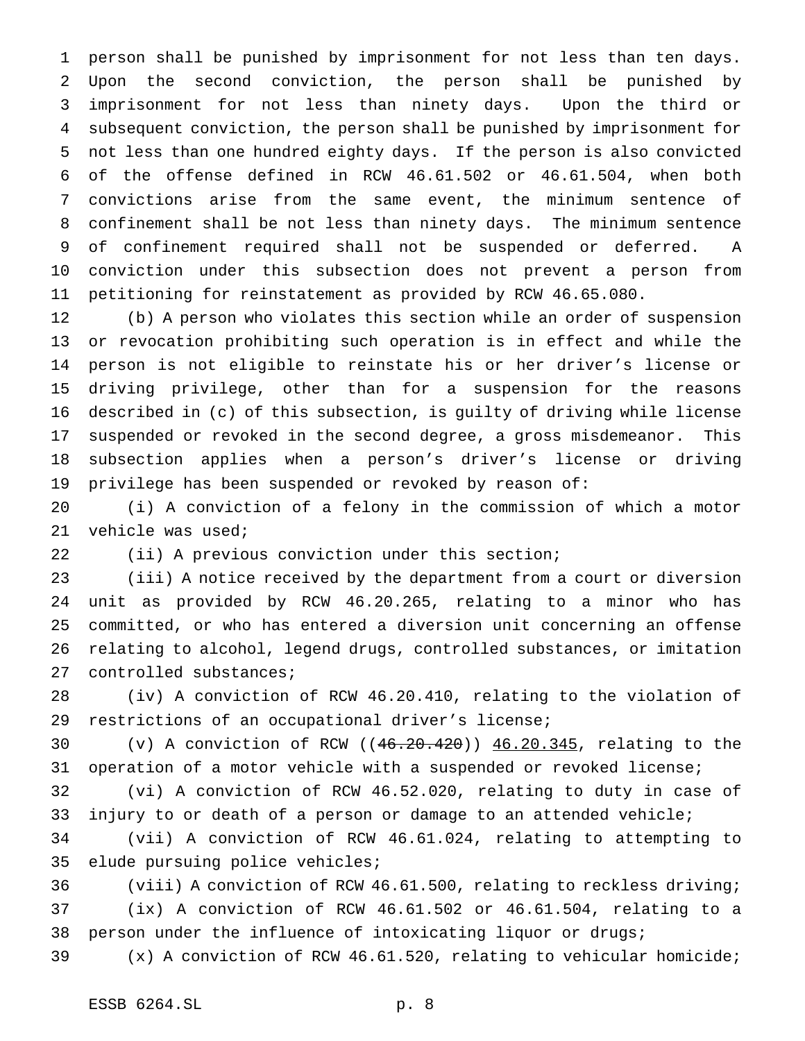person shall be punished by imprisonment for not less than ten days. Upon the second conviction, the person shall be punished by imprisonment for not less than ninety days. Upon the third or subsequent conviction, the person shall be punished by imprisonment for not less than one hundred eighty days. If the person is also convicted of the offense defined in RCW 46.61.502 or 46.61.504, when both convictions arise from the same event, the minimum sentence of confinement shall be not less than ninety days. The minimum sentence of confinement required shall not be suspended or deferred. A conviction under this subsection does not prevent a person from petitioning for reinstatement as provided by RCW 46.65.080.

 (b) A person who violates this section while an order of suspension or revocation prohibiting such operation is in effect and while the person is not eligible to reinstate his or her driver's license or driving privilege, other than for a suspension for the reasons described in (c) of this subsection, is guilty of driving while license suspended or revoked in the second degree, a gross misdemeanor. This subsection applies when a person's driver's license or driving privilege has been suspended or revoked by reason of:

 (i) A conviction of a felony in the commission of which a motor vehicle was used;

(ii) A previous conviction under this section;

 (iii) A notice received by the department from a court or diversion unit as provided by RCW 46.20.265, relating to a minor who has committed, or who has entered a diversion unit concerning an offense relating to alcohol, legend drugs, controlled substances, or imitation controlled substances;

 (iv) A conviction of RCW 46.20.410, relating to the violation of restrictions of an occupational driver's license;

 (v) A conviction of RCW ((46.20.420)) 46.20.345, relating to the operation of a motor vehicle with a suspended or revoked license;

 (vi) A conviction of RCW 46.52.020, relating to duty in case of injury to or death of a person or damage to an attended vehicle;

 (vii) A conviction of RCW 46.61.024, relating to attempting to elude pursuing police vehicles;

 (viii) A conviction of RCW 46.61.500, relating to reckless driving; (ix) A conviction of RCW 46.61.502 or 46.61.504, relating to a person under the influence of intoxicating liquor or drugs;

(x) A conviction of RCW 46.61.520, relating to vehicular homicide;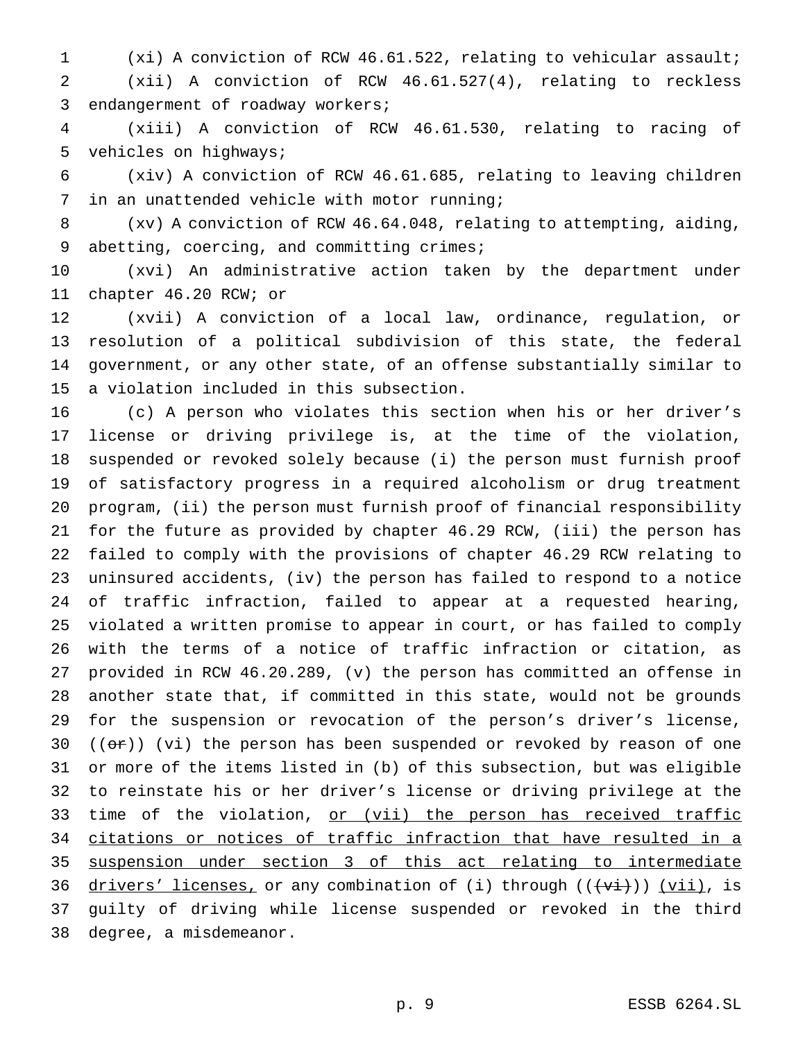(xi) A conviction of RCW 46.61.522, relating to vehicular assault; (xii) A conviction of RCW 46.61.527(4), relating to reckless endangerment of roadway workers;

 (xiii) A conviction of RCW 46.61.530, relating to racing of vehicles on highways;

 (xiv) A conviction of RCW 46.61.685, relating to leaving children in an unattended vehicle with motor running;

 (xv) A conviction of RCW 46.64.048, relating to attempting, aiding, 9 abetting, coercing, and committing crimes;

 (xvi) An administrative action taken by the department under chapter 46.20 RCW; or

 (xvii) A conviction of a local law, ordinance, regulation, or resolution of a political subdivision of this state, the federal government, or any other state, of an offense substantially similar to a violation included in this subsection.

 (c) A person who violates this section when his or her driver's license or driving privilege is, at the time of the violation, suspended or revoked solely because (i) the person must furnish proof of satisfactory progress in a required alcoholism or drug treatment program, (ii) the person must furnish proof of financial responsibility for the future as provided by chapter 46.29 RCW, (iii) the person has failed to comply with the provisions of chapter 46.29 RCW relating to uninsured accidents, (iv) the person has failed to respond to a notice of traffic infraction, failed to appear at a requested hearing, violated a written promise to appear in court, or has failed to comply with the terms of a notice of traffic infraction or citation, as provided in RCW 46.20.289, (v) the person has committed an offense in another state that, if committed in this state, would not be grounds for the suspension or revocation of the person's driver's license,  $((or))$  (vi) the person has been suspended or revoked by reason of one or more of the items listed in (b) of this subsection, but was eligible to reinstate his or her driver's license or driving privilege at the 33 time of the violation, or (vii) the person has received traffic citations or notices of traffic infraction that have resulted in a suspension under section 3 of this act relating to intermediate 36 drivers' licenses, or any combination of (i) through  $((+v\texttt{i}))$   $(v\texttt{ii})$ , is guilty of driving while license suspended or revoked in the third degree, a misdemeanor.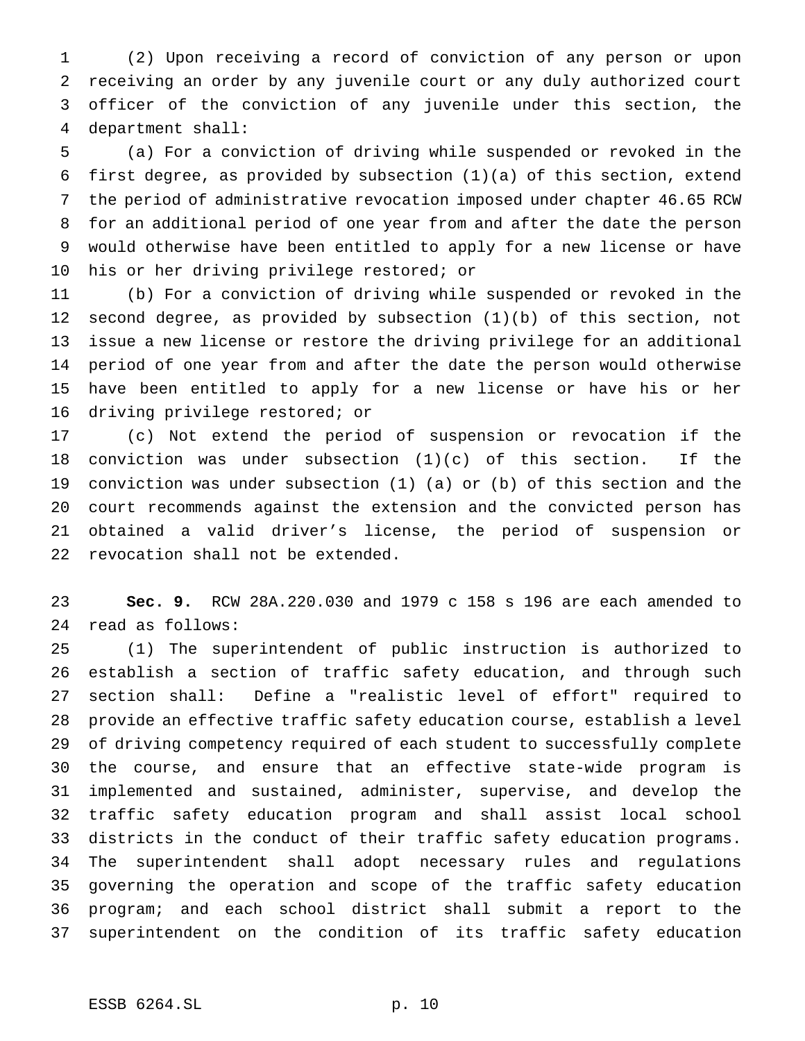(2) Upon receiving a record of conviction of any person or upon receiving an order by any juvenile court or any duly authorized court officer of the conviction of any juvenile under this section, the department shall:

 (a) For a conviction of driving while suspended or revoked in the first degree, as provided by subsection (1)(a) of this section, extend the period of administrative revocation imposed under chapter 46.65 RCW for an additional period of one year from and after the date the person would otherwise have been entitled to apply for a new license or have his or her driving privilege restored; or

 (b) For a conviction of driving while suspended or revoked in the second degree, as provided by subsection (1)(b) of this section, not issue a new license or restore the driving privilege for an additional period of one year from and after the date the person would otherwise have been entitled to apply for a new license or have his or her driving privilege restored; or

 (c) Not extend the period of suspension or revocation if the 18 conviction was under subsection  $(1)(c)$  of this section. If the conviction was under subsection (1) (a) or (b) of this section and the court recommends against the extension and the convicted person has obtained a valid driver's license, the period of suspension or revocation shall not be extended.

 **Sec. 9.** RCW 28A.220.030 and 1979 c 158 s 196 are each amended to read as follows:

 (1) The superintendent of public instruction is authorized to establish a section of traffic safety education, and through such section shall: Define a "realistic level of effort" required to provide an effective traffic safety education course, establish a level of driving competency required of each student to successfully complete the course, and ensure that an effective state-wide program is implemented and sustained, administer, supervise, and develop the traffic safety education program and shall assist local school districts in the conduct of their traffic safety education programs. The superintendent shall adopt necessary rules and regulations governing the operation and scope of the traffic safety education program; and each school district shall submit a report to the superintendent on the condition of its traffic safety education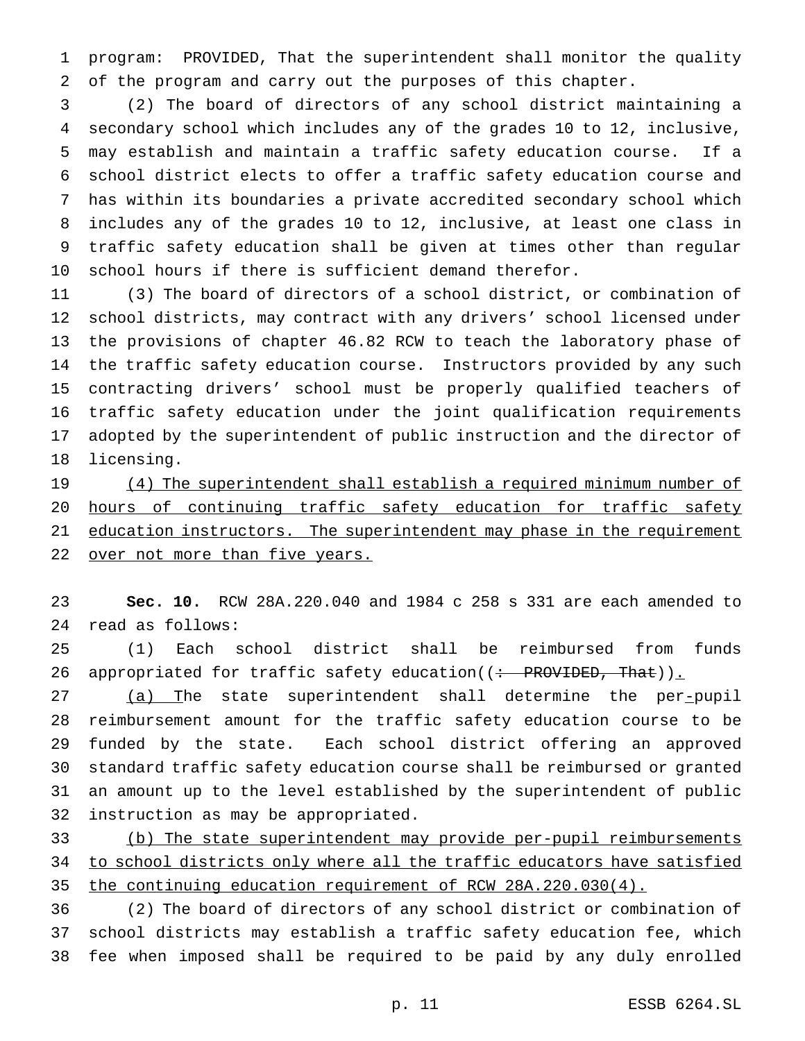program: PROVIDED, That the superintendent shall monitor the quality of the program and carry out the purposes of this chapter.

 (2) The board of directors of any school district maintaining a secondary school which includes any of the grades 10 to 12, inclusive, may establish and maintain a traffic safety education course. If a school district elects to offer a traffic safety education course and has within its boundaries a private accredited secondary school which includes any of the grades 10 to 12, inclusive, at least one class in traffic safety education shall be given at times other than regular school hours if there is sufficient demand therefor.

 (3) The board of directors of a school district, or combination of school districts, may contract with any drivers' school licensed under the provisions of chapter 46.82 RCW to teach the laboratory phase of the traffic safety education course. Instructors provided by any such contracting drivers' school must be properly qualified teachers of traffic safety education under the joint qualification requirements adopted by the superintendent of public instruction and the director of licensing.

19 (4) The superintendent shall establish a required minimum number of hours of continuing traffic safety education for traffic safety 21 education instructors. The superintendent may phase in the requirement 22 over not more than five years.

 **Sec. 10.** RCW 28A.220.040 and 1984 c 258 s 331 are each amended to read as follows:

 (1) Each school district shall be reimbursed from funds 26 appropriated for traffic safety education( $($  + PROVIDED, That)).

27 (a) The state superintendent shall determine the per-pupil reimbursement amount for the traffic safety education course to be funded by the state. Each school district offering an approved standard traffic safety education course shall be reimbursed or granted an amount up to the level established by the superintendent of public instruction as may be appropriated.

 (b) The state superintendent may provide per-pupil reimbursements to school districts only where all the traffic educators have satisfied the continuing education requirement of RCW 28A.220.030(4).

 (2) The board of directors of any school district or combination of school districts may establish a traffic safety education fee, which fee when imposed shall be required to be paid by any duly enrolled